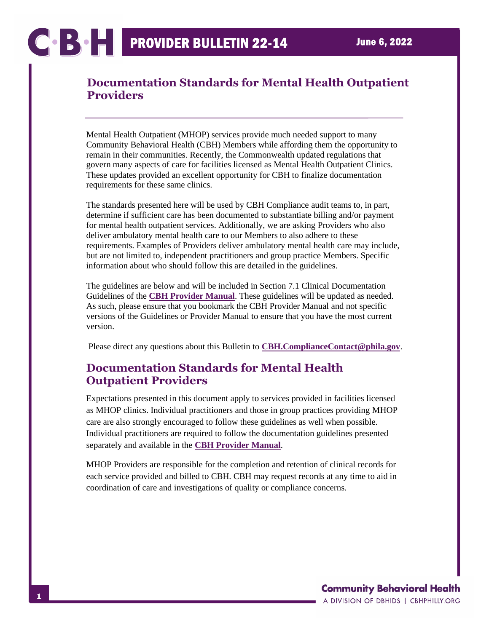Mental Health Outpatient (MHOP) services provide much needed support to many Community Behavioral Health (CBH) Members while affording them the opportunity to remain in their communities. Recently, the Commonwealth updated regulations that govern many aspects of care for facilities licensed as Mental Health Outpatient Clinics. These updates provided an excellent opportunity for CBH to finalize documentation requirements for these same clinics.

The standards presented here will be used by CBH Compliance audit teams to, in part, determine if sufficient care has been documented to substantiate billing and/or payment for mental health outpatient services. Additionally, we are asking Providers who also deliver ambulatory mental health care to our Members to also adhere to these requirements. Examples of Providers deliver ambulatory mental health care may include, but are not limited to, independent practitioners and group practice Members. Specific information about who should follow this are detailed in the guidelines.

The guidelines are below and will be included in Section 7.1 Clinical Documentation Guidelines of the **[CBH Provider Manual](https://cbhphilly.org/cbh-providers/oversight-and-monitoring/cbh-provider-manual/)**. These guidelines will be updated as needed. As such, please ensure that you bookmark the CBH Provider Manual and not specific versions of the Guidelines or Provider Manual to ensure that you have the most current version.

Please direct any questions about this Bulletin to **[CBH.ComplianceContact@phila.gov](mailto:CBH.ComplianceContact@phila.gov)**.

## **Documentation Standards for Mental Health Outpatient Providers**

Expectations presented in this document apply to services provided in facilities licensed as MHOP clinics. Individual practitioners and those in group practices providing MHOP care are also strongly encouraged to follow these guidelines as well when possible. Individual practitioners are required to follow the documentation guidelines presented separately and available in the **[CBH Provider Manual](https://cbhphilly.org/cbh-providers/oversight-and-monitoring/cbh-provider-manual/)**.

MHOP Providers are responsible for the completion and retention of clinical records for each service provided and billed to CBH. CBH may request records at any time to aid in coordination of care and investigations of quality or compliance concerns.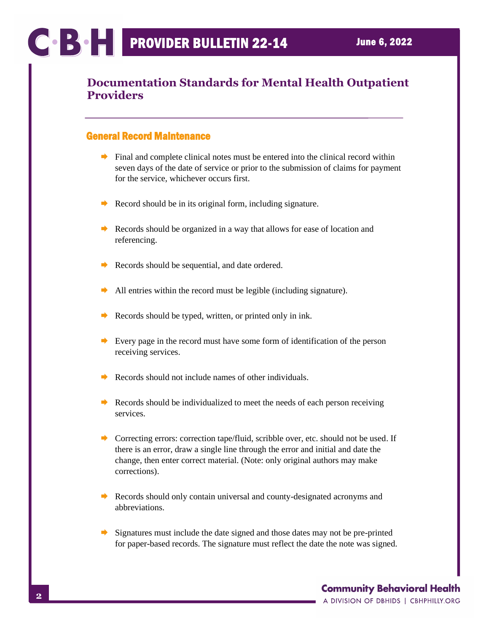### General Record Maintenance

- $\rightarrow$  Final and complete clinical notes must be entered into the clinical record within seven days of the date of service or prior to the submission of claims for payment for the service, whichever occurs first.
- Record should be in its original form, including signature.
- Records should be organized in a way that allows for ease of location and referencing.
- $\rightarrow$  Records should be sequential, and date ordered.
- $\rightarrow$  All entries within the record must be legible (including signature).
- Records should be typed, written, or printed only in ink.
- Every page in the record must have some form of identification of the person receiving services.
- Records should not include names of other individuals.
- Records should be individualized to meet the needs of each person receiving services.
- ◆ Correcting errors: correction tape/fluid, scribble over, etc. should not be used. If there is an error, draw a single line through the error and initial and date the change, then enter correct material. (Note: only original authors may make corrections).
- Records should only contain universal and county-designated acronyms and abbreviations.
- Signatures must include the date signed and those dates may not be pre-printed for paper-based records. The signature must reflect the date the note was signed.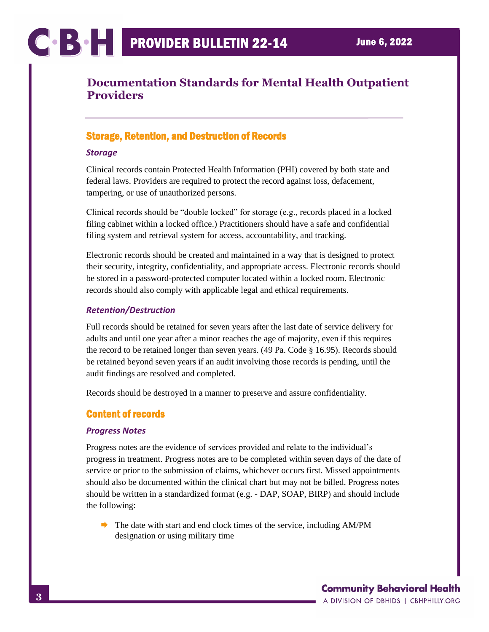### Storage, Retention, and Destruction of Records

#### *Storage*

Clinical records contain Protected Health Information (PHI) covered by both state and federal laws. Providers are required to protect the record against loss, defacement, tampering, or use of unauthorized persons.

Clinical records should be "double locked" for storage (e.g., records placed in a locked filing cabinet within a locked office.) Practitioners should have a safe and confidential filing system and retrieval system for access, accountability, and tracking.

Electronic records should be created and maintained in a way that is designed to protect their security, integrity, confidentiality, and appropriate access. Electronic records should be stored in a password-protected computer located within a locked room. Electronic records should also comply with applicable legal and ethical requirements.

### *Retention/Destruction*

Full records should be retained for seven years after the last date of service delivery for adults and until one year after a minor reaches the age of majority, even if this requires the record to be retained longer than seven years. (49 Pa. Code § 16.95). Records should be retained beyond seven years if an audit involving those records is pending, until the audit findings are resolved and completed.

Records should be destroyed in a manner to preserve and assure confidentiality.

### Content of records

### *Progress Notes*

Progress notes are the evidence of services provided and relate to the individual's progress in treatment. Progress notes are to be completed within seven days of the date of service or prior to the submission of claims, whichever occurs first. Missed appointments should also be documented within the clinical chart but may not be billed. Progress notes should be written in a standardized format (e.g. - DAP, SOAP, BIRP) and should include the following:

 $\rightarrow$  The date with start and end clock times of the service, including AM/PM designation or using military time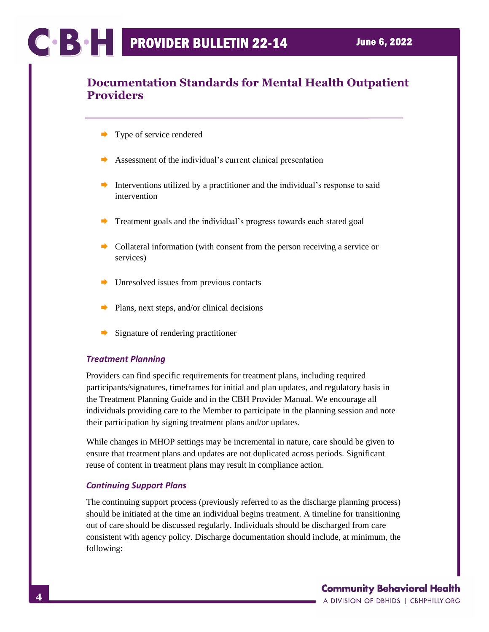- Type of service rendered
- $\rightarrow$  Assessment of the individual's current clinical presentation
- Interventions utilized by a practitioner and the individual's response to said intervention
- Treatment goals and the individual's progress towards each stated goal
- $\rightarrow$  Collateral information (with consent from the person receiving a service or services)
- Unresolved issues from previous contacts
- $\rightarrow$  Plans, next steps, and/or clinical decisions
- $\rightarrow$  Signature of rendering practitioner

### *Treatment Planning*

Providers can find specific requirements for treatment plans, including required participants/signatures, timeframes for initial and plan updates, and regulatory basis in the Treatment Planning Guide and in the CBH Provider Manual. We encourage all individuals providing care to the Member to participate in the planning session and note their participation by signing treatment plans and/or updates.

While changes in MHOP settings may be incremental in nature, care should be given to ensure that treatment plans and updates are not duplicated across periods. Significant reuse of content in treatment plans may result in compliance action.

#### *Continuing Support Plans*

The continuing support process (previously referred to as the discharge planning process) should be initiated at the time an individual begins treatment. A timeline for transitioning out of care should be discussed regularly. Individuals should be discharged from care consistent with agency policy. Discharge documentation should include, at minimum, the following: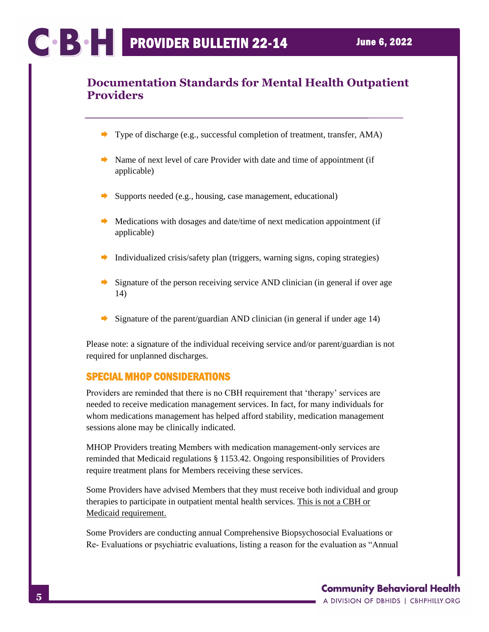- Type of discharge (e.g., successful completion of treatment, transfer, AMA)
- $\rightarrow$  Name of next level of care Provider with date and time of appointment (if applicable)
- Supports needed (e.g., housing, case management, educational)
- $\rightarrow$  Medications with dosages and date/time of next medication appointment (if applicable)
- Individualized crisis/safety plan (triggers, warning signs, coping strategies)
- Signature of the person receiving service AND clinician (in general if over age 14)
- Signature of the parent/guardian AND clinician (in general if under age 14)

Please note: a signature of the individual receiving service and/or parent/guardian is not required for unplanned discharges.

### SPECIAL MHOP CONSIDERATIONS

Providers are reminded that there is no CBH requirement that 'therapy' services are needed to receive medication management services. In fact, for many individuals for whom medications management has helped afford stability, medication management sessions alone may be clinically indicated.

MHOP Providers treating Members with medication management‐only services are reminded that Medicaid regulations § 1153.42. Ongoing responsibilities of Providers require treatment plans for Members receiving these services.

Some Providers have advised Members that they must receive both individual and group therapies to participate in outpatient mental health services. This is not a CBH or Medicaid requirement.

Some Providers are conducting annual Comprehensive Biopsychosocial Evaluations or Re‐ Evaluations or psychiatric evaluations, listing a reason for the evaluation as "Annual